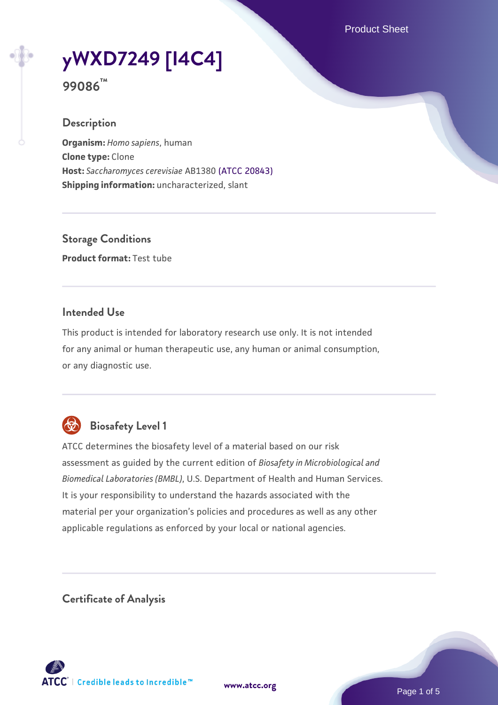Product Sheet

# **[yWXD7249 \[I4C4\]](https://www.atcc.org/products/99086)**

**99086™**

## **Description**

**Organism:** *Homo sapiens*, human **Clone type:** Clone **Host:** *Saccharomyces cerevisiae* AB1380 [\(ATCC 20843\)](https://www.atcc.org/products/20843) **Shipping information:** uncharacterized, slant

**Storage Conditions Product format:** Test tube

## **Intended Use**

This product is intended for laboratory research use only. It is not intended for any animal or human therapeutic use, any human or animal consumption, or any diagnostic use.



# **Biosafety Level 1**

ATCC determines the biosafety level of a material based on our risk assessment as guided by the current edition of *Biosafety in Microbiological and Biomedical Laboratories (BMBL)*, U.S. Department of Health and Human Services. It is your responsibility to understand the hazards associated with the material per your organization's policies and procedures as well as any other applicable regulations as enforced by your local or national agencies.

**Certificate of Analysis**

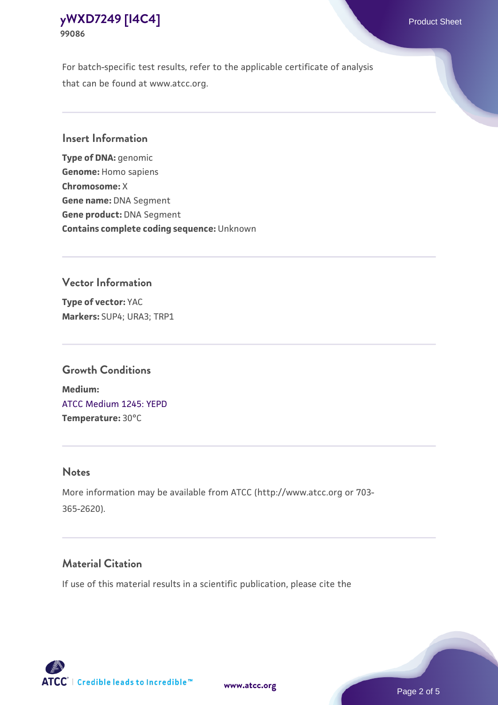For batch-specific test results, refer to the applicable certificate of analysis that can be found at www.atcc.org.

## **Insert Information**

**Type of DNA:** genomic **Genome:** Homo sapiens **Chromosome:** X **Gene name:** DNA Segment **Gene product:** DNA Segment **Contains complete coding sequence:** Unknown

#### **Vector Information**

**Type of vector:** YAC **Markers:** SUP4; URA3; TRP1

#### **Growth Conditions**

**Medium:**  [ATCC Medium 1245: YEPD](https://www.atcc.org/-/media/product-assets/documents/microbial-media-formulations/1/2/4/5/atcc-medium-1245.pdf?rev=705ca55d1b6f490a808a965d5c072196) **Temperature:** 30°C

#### **Notes**

More information may be available from ATCC (http://www.atcc.org or 703- 365-2620).

## **Material Citation**

If use of this material results in a scientific publication, please cite the



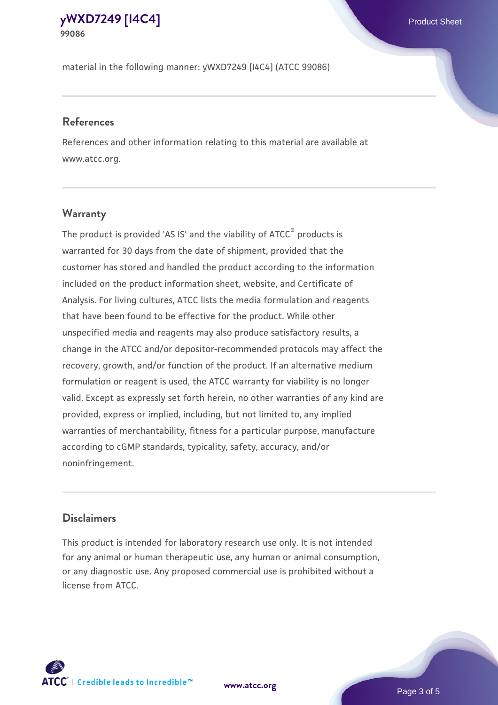material in the following manner: yWXD7249 [I4C4] (ATCC 99086)

## **References**

References and other information relating to this material are available at www.atcc.org.

## **Warranty**

The product is provided 'AS IS' and the viability of ATCC® products is warranted for 30 days from the date of shipment, provided that the customer has stored and handled the product according to the information included on the product information sheet, website, and Certificate of Analysis. For living cultures, ATCC lists the media formulation and reagents that have been found to be effective for the product. While other unspecified media and reagents may also produce satisfactory results, a change in the ATCC and/or depositor-recommended protocols may affect the recovery, growth, and/or function of the product. If an alternative medium formulation or reagent is used, the ATCC warranty for viability is no longer valid. Except as expressly set forth herein, no other warranties of any kind are provided, express or implied, including, but not limited to, any implied warranties of merchantability, fitness for a particular purpose, manufacture according to cGMP standards, typicality, safety, accuracy, and/or noninfringement.

## **Disclaimers**

This product is intended for laboratory research use only. It is not intended for any animal or human therapeutic use, any human or animal consumption, or any diagnostic use. Any proposed commercial use is prohibited without a license from ATCC.

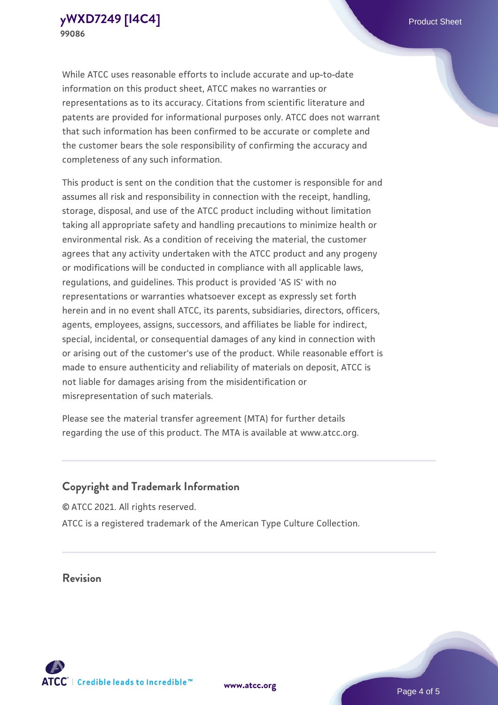While ATCC uses reasonable efforts to include accurate and up-to-date information on this product sheet, ATCC makes no warranties or representations as to its accuracy. Citations from scientific literature and patents are provided for informational purposes only. ATCC does not warrant that such information has been confirmed to be accurate or complete and the customer bears the sole responsibility of confirming the accuracy and completeness of any such information.

This product is sent on the condition that the customer is responsible for and assumes all risk and responsibility in connection with the receipt, handling, storage, disposal, and use of the ATCC product including without limitation taking all appropriate safety and handling precautions to minimize health or environmental risk. As a condition of receiving the material, the customer agrees that any activity undertaken with the ATCC product and any progeny or modifications will be conducted in compliance with all applicable laws, regulations, and guidelines. This product is provided 'AS IS' with no representations or warranties whatsoever except as expressly set forth herein and in no event shall ATCC, its parents, subsidiaries, directors, officers, agents, employees, assigns, successors, and affiliates be liable for indirect, special, incidental, or consequential damages of any kind in connection with or arising out of the customer's use of the product. While reasonable effort is made to ensure authenticity and reliability of materials on deposit, ATCC is not liable for damages arising from the misidentification or misrepresentation of such materials.

Please see the material transfer agreement (MTA) for further details regarding the use of this product. The MTA is available at www.atcc.org.

## **Copyright and Trademark Information**

© ATCC 2021. All rights reserved. ATCC is a registered trademark of the American Type Culture Collection.

**Revision**



**[www.atcc.org](http://www.atcc.org)**

Page 4 of 5